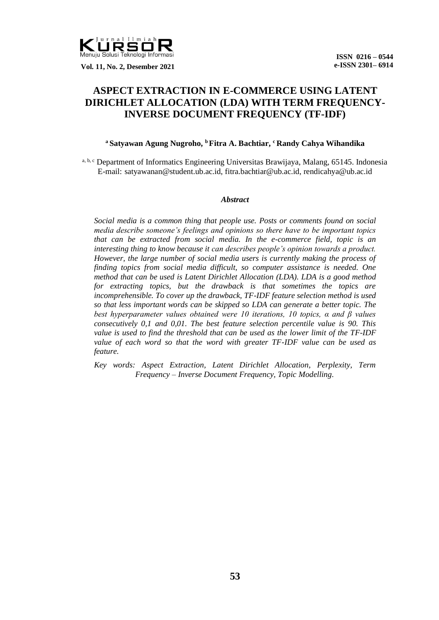

 **Vol. 11, No. 2, Desember 2021**

# **ASPECT EXTRACTION IN E-COMMERCE USING LATENT DIRICHLET ALLOCATION (LDA) WITH TERM FREQUENCY-INVERSE DOCUMENT FREQUENCY (TF-IDF)**

## **<sup>a</sup> Satyawan Agung Nugroho, <sup>b</sup>Fitra A. Bachtiar, <sup>c</sup> Randy Cahya Wihandika**

a, b, c Department of Informatics Engineering Universitas Brawijaya, Malang, 65145. Indonesia E-mail: satyawanan@student.ub.ac.id, fitra.bachtiar@ub.ac.id, rendicahya@ub.ac.id

#### *Abstract*

*Social media is a common thing that people use. Posts or comments found on social media describe someone's feelings and opinions so there have to be important topics that can be extracted from social media. In the e-commerce field, topic is an interesting thing to know because it can describes people's opinion towards a product. However, the large number of social media users is currently making the process of finding topics from social media difficult, so computer assistance is needed. One method that can be used is Latent Dirichlet Allocation (LDA). LDA is a good method for extracting topics, but the drawback is that sometimes the topics are incomprehensible. To cover up the drawback, TF-IDF feature selection method is used so that less important words can be skipped so LDA can generate a better topic. The best hyperparameter values obtained were 10 iterations, 10 topics, α and β values consecutively 0,1 and 0,01. The best feature selection percentile value is 90. This value is used to find the threshold that can be used as the lower limit of the TF-IDF value of each word so that the word with greater TF-IDF value can be used as feature.* 

*Key words: Aspect Extraction, Latent Dirichlet Allocation, Perplexity, Term Frequency – Inverse Document Frequency, Topic Modelling.*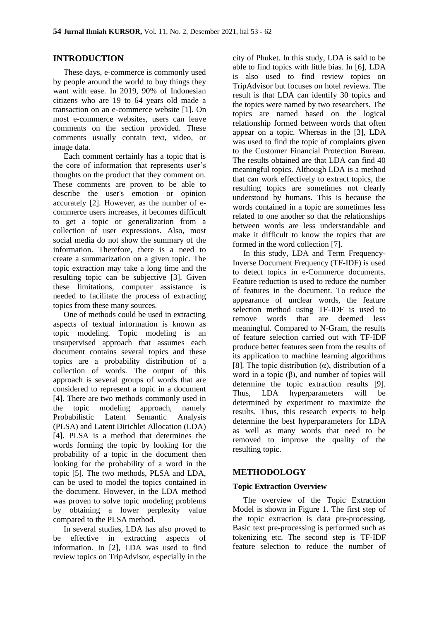## **INTRODUCTION**

These days, e-commerce is commonly used by people around the world to buy things they want with ease. In 2019, 90% of Indonesian citizens who are 19 to 64 years old made a transaction on an e-commerce website [1]. On most e-commerce websites, users can leave comments on the section provided. These comments usually contain text, video, or image data.

Each comment certainly has a topic that is the core of information that represents user's thoughts on the product that they comment on. These comments are proven to be able to describe the user's emotion or opinion accurately [2]. However, as the number of ecommerce users increases, it becomes difficult to get a topic or generalization from a collection of user expressions. Also, most social media do not show the summary of the information. Therefore, there is a need to create a summarization on a given topic. The topic extraction may take a long time and the resulting topic can be subjective [3]. Given these limitations, computer assistance is needed to facilitate the process of extracting topics from these many sources.

One of methods could be used in extracting aspects of textual information is known as topic modeling. Topic modeling is an unsupervised approach that assumes each document contains several topics and these topics are a probability distribution of a collection of words. The output of this approach is several groups of words that are considered to represent a topic in a document [4]. There are two methods commonly used in the topic modeling approach, namely Probabilistic Latent Semantic Analysis (PLSA) and Latent Dirichlet Allocation (LDA) [4]. PLSA is a method that determines the words forming the topic by looking for the probability of a topic in the document then looking for the probability of a word in the topic [5]. The two methods, PLSA and LDA, can be used to model the topics contained in the document. However, in the LDA method was proven to solve topic modeling problems by obtaining a lower perplexity value compared to the PLSA method.

In several studies, LDA has also proved to be effective in extracting aspects of information. In [2], LDA was used to find review topics on TripAdvisor, especially in the

city of Phuket. In this study, LDA is said to be able to find topics with little bias. In [6], LDA is also used to find review topics on TripAdvisor but focuses on hotel reviews. The result is that LDA can identify 30 topics and the topics were named by two researchers. The topics are named based on the logical relationship formed between words that often appear on a topic. Whereas in the [3], LDA was used to find the topic of complaints given to the Customer Financial Protection Bureau. The results obtained are that LDA can find 40 meaningful topics. Although LDA is a method that can work effectively to extract topics, the resulting topics are sometimes not clearly understood by humans. This is because the words contained in a topic are sometimes less related to one another so that the relationships between words are less understandable and make it difficult to know the topics that are formed in the word collection [7].

In this study, LDA and Term Frequency-Inverse Document Frequency (TF-IDF) is used to detect topics in e-Commerce documents. Feature reduction is used to reduce the number of features in the document. To reduce the appearance of unclear words, the feature selection method using TF-IDF is used to remove words that are deemed less meaningful. Compared to N-Gram, the results of feature selection carried out with TF-IDF produce better features seen from the results of its application to machine learning algorithms [8]. The topic distribution  $(\alpha)$ , distribution of a word in a topic  $(\beta)$ , and number of topics will determine the topic extraction results [9]. Thus, LDA hyperparameters will be determined by experiment to maximize the results. Thus, this research expects to help determine the best hyperparameters for LDA as well as many words that need to be removed to improve the quality of the resulting topic.

## **METHODOLOGY**

## **Topic Extraction Overview**

The overview of the Topic Extraction Model is shown in Figure 1. The first step of the topic extraction is data pre-processing. Basic text pre-processing is performed such as tokenizing etc. The second step is TF-IDF feature selection to reduce the number of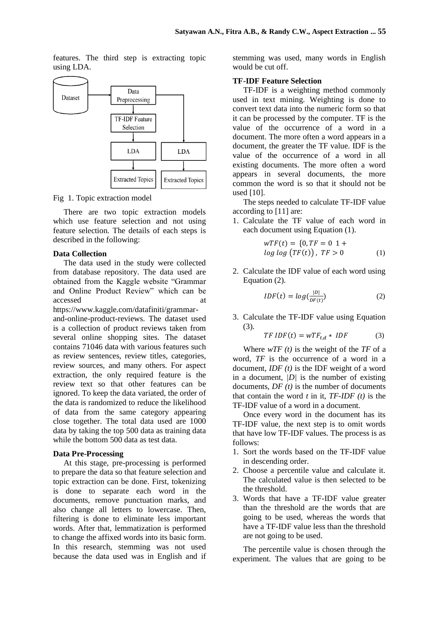features. The third step is extracting topic using LDA.



Fig 1. Topic extraction model

There are two topic extraction models which use feature selection and not using feature selection. The details of each steps is described in the following:

## **Data Collection**

The data used in the study were collected from database repository. The data used are obtained from the Kaggle website "Grammar and Online Product Review" which can be accessed at a strategies at a strategies at a strategies at a strategies at a strategies at a strategies at a strategies at a strategies at a strategies at a strategies at a strategies at a strategies at a strategies at a

https://www.kaggle.com/datafiniti/grammarand-online-product-reviews. The dataset used is a collection of product reviews taken from several online shopping sites. The dataset contains 71046 data with various features such as review sentences, review titles, categories, review sources, and many others. For aspect extraction, the only required feature is the review text so that other features can be ignored. To keep the data variated, the order of the data is randomized to reduce the likelihood of data from the same category appearing close together. The total data used are 1000 data by taking the top 500 data as training data while the bottom 500 data as test data.

#### **Data Pre-Processing**

At this stage, pre-processing is performed to prepare the data so that feature selection and topic extraction can be done. First, tokenizing is done to separate each word in the documents, remove punctuation marks, and also change all letters to lowercase. Then, filtering is done to eliminate less important words. After that, lemmatization is performed to change the affixed words into its basic form. In this research, stemming was not used because the data used was in English and if stemming was used, many words in English would be cut off.

## **TF-IDF Feature Selection**

TF-IDF is a weighting method commonly used in text mining. Weighting is done to convert text data into the numeric form so that it can be processed by the computer. TF is the value of the occurrence of a word in a document. The more often a word appears in a document, the greater the TF value. IDF is the value of the occurrence of a word in all existing documents. The more often a word appears in several documents, the more common the word is so that it should not be used [10].

The steps needed to calculate TF-IDF value according to [11] are:

1. Calculate the TF value of each word in each document using Equation (1).

$$
wTF(t) = \{0, TF = 0 \ 1 + 1 \}
$$
  

$$
log log (TF(t)), TF > 0
$$
 (1)

2. Calculate the IDF value of each word using Equation (2).

$$
IDF(t) = log(\frac{|D|}{DF(t)})
$$
\n(2)

3. Calculate the TF-IDF value using Equation (3).

$$
TFIDF(t) = wTF_{t,d} * IDF
$$
 (3)

Where *wTF (t)* is the weight of the *TF* of a word, *TF* is the occurrence of a word in a document, *IDF (t)* is the IDF weight of a word in a document, *|D|* is the number of existing documents, *DF (t)* is the number of documents that contain the word  $t$  in it,  $TF$ - $IDF(t)$  is the TF-IDF value of a word in a document.

Once every word in the document has its TF-IDF value, the next step is to omit words that have low TF-IDF values. The process is as follows:

- 1. Sort the words based on the TF-IDF value in descending order.
- 2. Choose a percentile value and calculate it. The calculated value is then selected to be the threshold.
- 3. Words that have a TF-IDF value greater than the threshold are the words that are going to be used, whereas the words that have a TF-IDF value less than the threshold are not going to be used.

The percentile value is chosen through the experiment. The values that are going to be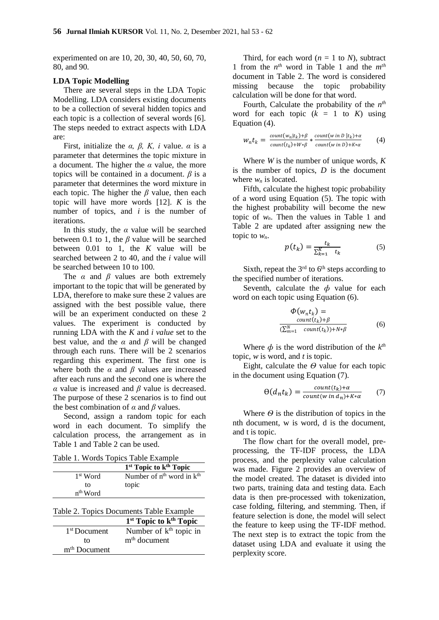experimented on are 10, 20, 30, 40, 50, 60, 70, 80, and 90.

#### **LDA Topic Modelling**

There are several steps in the LDA Topic Modelling. LDA considers existing documents to be a collection of several hidden topics and each topic is a collection of several words [6]. The steps needed to extract aspects with LDA are:

First, initialize the  $\alpha$ ,  $\beta$ ,  $K$ , *i* value.  $\alpha$  is a parameter that determines the topic mixture in a document. The higher the *α* value, the more topics will be contained in a document.  $\beta$  is a parameter that determines the word mixture in each topic. The higher the *β* value, then each topic will have more words [12]. *K* is the number of topics, and *i* is the number of iterations.

In this study, the  $\alpha$  value will be searched between 0.1 to 1, the *β* value will be searched between 0.01 to 1*,* the *K* value will be searched between 2 to 40*,* and the *i* value will be searched between 10 to 100.

The *α* and *β* values are both extremely important to the topic that will be generated by LDA, therefore to make sure these 2 values are assigned with the best possible value, there will be an experiment conducted on these 2 values. The experiment is conducted by running LDA with the *K* and *i value* set to the best value, and the  $\alpha$  and  $\beta$  will be changed through each runs. There will be 2 scenarios regarding this experiment. The first one is where both the *α* and *β* values are increased after each runs and the second one is where the *α* value is increased and *β* value is decreased. The purpose of these 2 scenarios is to find out the best combination of *α* and *β* values.

Second, assign a random topic for each word in each document. To simplify the calculation process, the arrangement as in Table 1 and Table 2 can be used.

Table 1. Words Topics Table Example

|                      | 1 <sup>st</sup> Topic to k <sup>th</sup> Topic |
|----------------------|------------------------------------------------|
| 1 <sup>st</sup> Word | Number of $n^{th}$ word in $k^{th}$            |
| to                   | topic                                          |
| n <sup>th</sup> Word |                                                |

|                          | raone $\mathcal{L}$ . Topics Documents Table Example |
|--------------------------|------------------------------------------------------|
|                          | 1 <sup>st</sup> Topic to k <sup>th</sup> Topic       |
| 1 <sup>st</sup> Document | Number of $kth$ topic in                             |
| tΩ                       | m <sup>th</sup> document                             |
| m <sup>th</sup> Document |                                                      |

Third, for each word  $(n = 1$  to *N*), subtract 1 from the *n th* word in Table 1 and the *mth* document in Table 2. The word is considered missing because the topic probability calculation will be done for that word.

Fourth, Calculate the probability of the  $n^{th}$ word for each topic  $(k = 1$  to  $K$ ) using Equation (4).

$$
w_n t_k = \frac{\text{count}(w_n | t_k) + \beta}{\text{count}(t_k) + W * \beta} * \frac{\text{count}(w \text{ in } D | t_k) + \alpha}{\text{count}(w \text{ in } D) + K * \alpha} \tag{4}
$$

Where *W* is the number of unique words, *K* is the number of topics, *D* is the document where *w<sup>n</sup>* is located.

Fifth, calculate the highest topic probability of a word using Equation (5). The topic with the highest probability will become the new topic of *wn*. Then the values in Table 1 and Table 2 are updated after assigning new the topic to  $w_n$ .

$$
p(t_k) = \frac{t_k}{\sum_{k=1}^{K} t_k} \tag{5}
$$

Sixth, repeat the  $3<sup>rd</sup>$  to  $6<sup>th</sup>$  steps according to the specified number of iterations.

Seventh, calculate the *d* value for each word on each topic using Equation (6).

$$
\Phi(w_n t_k) = \frac{count(t_k) + \beta}{(\sum_{m=1}^N count(t_k)) + N * \beta} \tag{6}
$$

Where  $\phi$  is the word distribution of the  $k^{th}$ topic, *w* is word, and *t* is topic.

Eight, calculate the  $\Theta$  value for each topic in the document using Equation (7).

$$
\Theta(d_n t_k) = \frac{count(t_k) + \alpha}{count(w \, in \, d_n) + K \cdot \alpha} \tag{7}
$$

Where  $\Theta$  is the distribution of topics in the nth document, w is word, d is the document, and t is topic.

The flow chart for the overall model, preprocessing, the TF-IDF process, the LDA process, and the perplexity value calculation was made. Figure 2 provides an overview of the model created. The dataset is divided into two parts, training data and testing data. Each data is then pre-processed with tokenization, case folding, filtering, and stemming. Then, if feature selection is done, the model will select the feature to keep using the TF-IDF method. The next step is to extract the topic from the dataset using LDA and evaluate it using the perplexity score.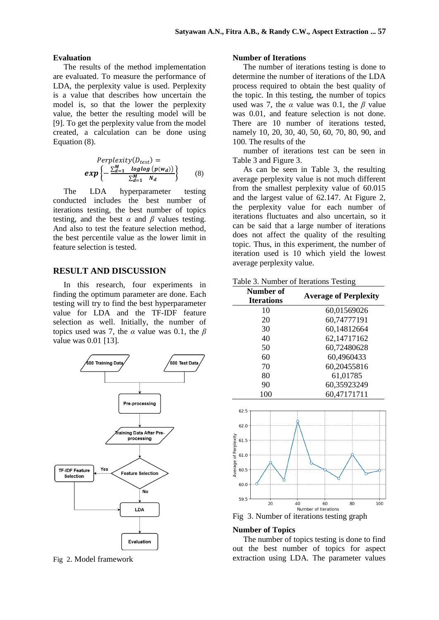#### **Evaluation**

The results of the method implementation are evaluated. To measure the performance of LDA, the perplexity value is used. Perplexity is a value that describes how uncertain the model is, so that the lower the perplexity value, the better the resulting model will be [9]. To get the perplexity value from the model created, a calculation can be done using Equation (8).

$$
Perplexity(D_{test}) =
$$
  

$$
exp\left\{-\frac{\sum_{d=1}^{M} log log (p(w_d))}{\sum_{d=1}^{M} N_d}\right\}
$$
 (8)

The LDA hyperparameter testing conducted includes the best number of iterations testing, the best number of topics testing, and the best  $\alpha$  and  $\beta$  values testing. And also to test the feature selection method, the best percentile value as the lower limit in feature selection is tested.

## **RESULT AND DISCUSSION**

In this research, four experiments in finding the optimum parameter are done. Each testing will try to find the best hyperparameter value for LDA and the TF-IDF feature selection as well. Initially, the number of topics used was 7, the *α* value was 0.1, the *β* value was 0.01 [13].



Fig 2. Model framework

#### **Number of Iterations**

The number of iterations testing is done to determine the number of iterations of the LDA process required to obtain the best quality of the topic. In this testing, the number of topics used was 7, the  $\alpha$  value was 0.1, the  $\beta$  value was 0.01, and feature selection is not done. There are 10 number of iterations tested. namely 10, 20, 30, 40, 50, 60, 70, 80, 90, and 100. The results of the

number of iterations test can be seen in Table 3 and Figure 3.

As can be seen in Table 3, the resulting average perplexity value is not much different from the smallest perplexity value of 60.015 and the largest value of 62.147. At Figure 2, the perplexity value for each number of iterations fluctuates and also uncertain, so it can be said that a large number of iterations does not affect the quality of the resulting topic. Thus, in this experiment, the number of iteration used is 10 which yield the lowest average perplexity value.

Table 3. Number of Iterations Testing

| Number of<br><b>Iterations</b> | <b>Average of Perplexity</b> |
|--------------------------------|------------------------------|
| 10                             | 60,01569026                  |
| 20                             | 60,74777191                  |
| 30                             | 60,14812664                  |
| 40                             | 62,14717162                  |
| 50                             | 60,72480628                  |
| 60                             | 60,4960433                   |
| 70                             | 60,20455816                  |
| 80                             | 61,01785                     |
| 90                             | 60,35923249                  |
| 100                            | 60,47171711                  |



Fig 3. Number of iterations testing graph

#### **Number of Topics**

The number of topics testing is done to find out the best number of topics for aspect extraction using LDA. The parameter values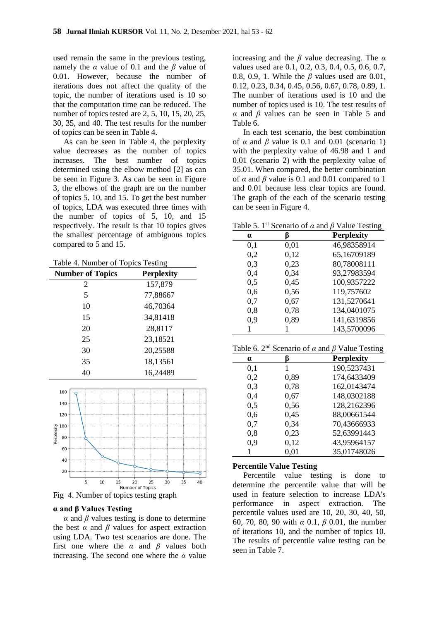used remain the same in the previous testing, namely the *α* value of 0.1 and the *β* value of 0.01. However, because the number of iterations does not affect the quality of the topic, the number of iterations used is 10 so that the computation time can be reduced. The number of topics tested are 2, 5, 10, 15, 20, 25, 30, 35, and 40. The test results for the number of topics can be seen in Table 4.

As can be seen in Table 4, the perplexity value decreases as the number of topics increases. The best number of topics determined using the elbow method [2] as can be seen in Figure 3. As can be seen in Figure 3, the elbows of the graph are on the number of topics 5, 10, and 15. To get the best number of topics, LDA was executed three times with the number of topics of 5, 10, and 15 respectively. The result is that 10 topics gives the smallest percentage of ambiguous topics compared to 5 and 15.

Table 4. Number of Topics Testing

| <b>Number of Topics</b> | <b>Perplexity</b> |
|-------------------------|-------------------|
| 2                       | 157,879           |
| 5                       | 77,88667          |
| 10                      | 46,70364          |
| 15                      | 34,81418          |
| 20                      | 28,8117           |
| 25                      | 23,18521          |
| 30                      | 20,25588          |
| 35                      | 18,13561          |
| 40                      | 16,24489          |



Fig 4. Number of topics testing graph

### **α and β Values Testing**

 $α$  and  $β$  values testing is done to determine the best  $\alpha$  and  $\beta$  values for aspect extraction using LDA. Two test scenarios are done. The first one where the  $\alpha$  and  $\beta$  values both increasing. The second one where the  $\alpha$  value

increasing and the *β* value decreasing. The *α* values used are 0.1, 0.2, 0.3, 0.4, 0.5, 0.6, 0.7, 0.8, 0.9, 1. While the *β* values used are 0.01, 0.12, 0.23, 0.34, 0.45, 0.56, 0.67, 0.78, 0.89, 1. The number of iterations used is 10 and the number of topics used is 10. The test results of *α* and *β* values can be seen in Table 5 and Table 6.

In each test scenario, the best combination of  $\alpha$  and  $\beta$  value is 0.1 and 0.01 (scenario 1) with the perplexity value of 46.98 and 1 and 0.01 (scenario 2) with the perplexity value of 35.01. When compared, the better combination of  $\alpha$  and  $\beta$  value is 0.1 and 0.01 compared to 1 and 0.01 because less clear topics are found. The graph of the each of the scenario testing can be seen in Figure 4.

Table 5. 1st Scenario of *α* and *β* Value Testing

| $\alpha$ |      | <b>Perplexity</b> |
|----------|------|-------------------|
| 0,1      | 0,01 | 46,98358914       |
| 0,2      | 0,12 | 65,16709189       |
| 0,3      | 0,23 | 80,78008111       |
| 0,4      | 0,34 | 93,27983594       |
| 0,5      | 0,45 | 100,9357222       |
| 0,6      | 0,56 | 119,757602        |
| 0,7      | 0,67 | 131,5270641       |
| 0,8      | 0,78 | 134,0401075       |
| 0.9      | 0,89 | 141,6319856       |
|          |      | 143,5700096       |

Table 6. 2nd Scenario of *α* and *β* Value Testing

| $\alpha$ | ß    | <b>Perplexity</b> |
|----------|------|-------------------|
| 0,1      | 1    | 190,5237431       |
| 0,2      | 0,89 | 174,6433409       |
| 0,3      | 0,78 | 162,0143474       |
| 0,4      | 0,67 | 148,0302188       |
| 0,5      | 0,56 | 128,2162396       |
| 0,6      | 0,45 | 88,00661544       |
| 0,7      | 0,34 | 70,43666933       |
| 0,8      | 0,23 | 52,63991443       |
| 0,9      | 0,12 | 43,95964157       |
|          | 0.01 | 35,01748026       |

### **Percentile Value Testing**

Percentile value testing is done to determine the percentile value that will be used in feature selection to increase LDA's performance in aspect extraction. The percentile values used are 10, 20, 30, 40, 50, 60, 70, 80, 90 with *α* 0.1, *β* 0.01, the number of iterations 10, and the number of topics 10. The results of percentile value testing can be seen in Table 7.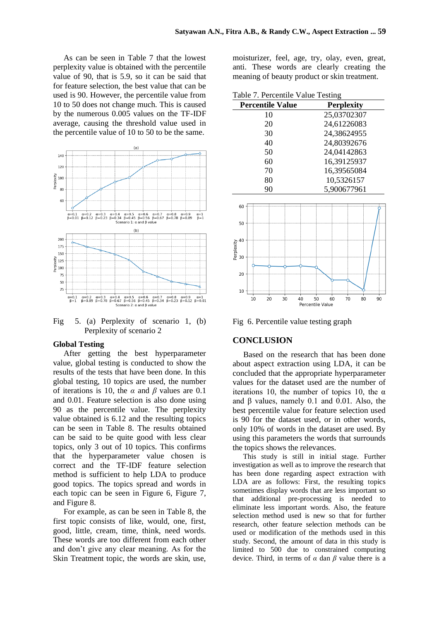As can be seen in Table 7 that the lowest perplexity value is obtained with the percentile value of 90, that is 5.9, so it can be said that for feature selection, the best value that can be used is 90. However, the percentile value from 10 to 50 does not change much. This is caused by the numerous 0.005 values on the TF-IDF average, causing the threshold value used in the percentile value of 10 to 50 to be the same.



Fig 5. (a) Perplexity of scenario 1, (b) Perplexity of scenario 2

### **Global Testing**

After getting the best hyperparameter value, global testing is conducted to show the results of the tests that have been done. In this global testing, 10 topics are used, the number of iterations is 10, the  $\alpha$  and  $\beta$  values are 0.1 and 0.01. Feature selection is also done using 90 as the percentile value. The perplexity value obtained is 6.12 and the resulting topics can be seen in Table 8. The results obtained can be said to be quite good with less clear topics, only 3 out of 10 topics. This confirms that the hyperparameter value chosen is correct and the TF-IDF feature selection method is sufficient to help LDA to produce good topics. The topics spread and words in each topic can be seen in Figure 6, Figure 7, and Figure 8.

For example, as can be seen in Table 8, the first topic consists of like, would, one, first, good, little, cream, time, think, need words. These words are too different from each other and don't give any clear meaning. As for the Skin Treatment topic, the words are skin, use,

moisturizer, feel, age, try, olay, even, great, anti. These words are clearly creating the meaning of beauty product or skin treatment.

| Table 7. Percentile Value Testing |  |  |
|-----------------------------------|--|--|
|-----------------------------------|--|--|

| <b>Percentile Value</b> | <b>Perplexity</b> |
|-------------------------|-------------------|
| 10                      | 25,03702307       |
| 20                      | 24,61226083       |
| 30                      | 24,38624955       |
| 40                      | 24,80392676       |
| 50                      | 24,04142863       |
| 60                      | 16,39125937       |
| 70                      | 16,39565084       |
| 80                      | 10,5326157        |
| 90                      | 5,900677961       |



Fig 6. Percentile value testing graph

## **CONCLUSION**

Based on the research that has been done about aspect extraction using LDA, it can be concluded that the appropriate hyperparameter values for the dataset used are the number of iterations 10, the number of topics 10, the  $\alpha$ and β values, namely 0.1 and 0.01. Also, the best percentile value for feature selection used is 90 for the dataset used, or in other words, only 10% of words in the dataset are used. By using this parameters the words that surrounds the topics shows the relevances.

This study is still in initial stage. Further investigation as well as to improve the research that has been done regarding aspect extraction with LDA are as follows: First, the resulting topics sometimes display words that are less important so that additional pre-processing is needed to eliminate less important words. Also, the feature selection method used is new so that for further research, other feature selection methods can be used or modification of the methods used in this study. Second, the amount of data in this study is limited to 500 due to constrained computing device. Third, in terms of  $\alpha$  dan  $\beta$  value there is a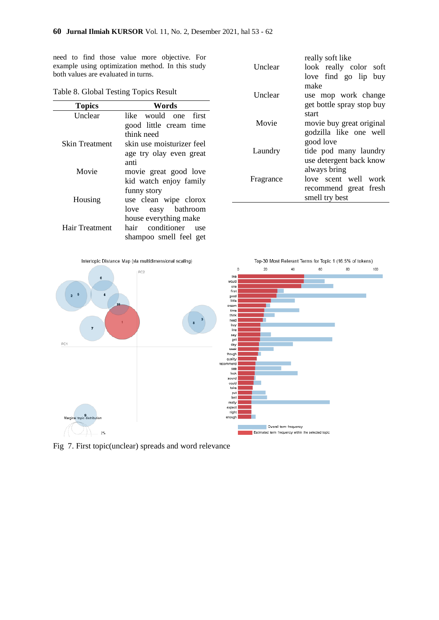need to find those value more objective. For example using optimization method. In this study both values are evaluated in turns.

| <b>Topics</b>  | Words                      |
|----------------|----------------------------|
| Unclear        | like would one first       |
|                | good little cream time     |
|                | think need                 |
| Skin Treatment | skin use moisturizer feel  |
|                | age try olay even great    |
|                | anti                       |
| Movie          | movie great good love      |
|                | kid watch enjoy family     |
|                | funny story                |
| Housing        | use clean wipe clorox      |
|                | love easy bathroom         |
|                | house everything make      |
| Hair Treatment | conditioner<br>hair<br>use |
|                | shampoo smell feel get     |

| Table 8. Global Testing Topics Result |
|---------------------------------------|
|---------------------------------------|

|           | really soft like          |
|-----------|---------------------------|
| Unclear   | look really color soft    |
|           | love find go lip buy      |
|           | make                      |
| Unclear   | use mop work change       |
|           | get bottle spray stop buy |
|           | start                     |
| Movie     | movie buy great original  |
|           | godzilla like one well    |
|           | good love                 |
| Laundry   | tide pod many laundry     |
|           | use detergent back know   |
|           | always bring              |
| Fragrance | love scent well work      |
|           | recommend great fresh     |
|           | smell try best            |



Fig 7. First topic(unclear) spreads and word relevance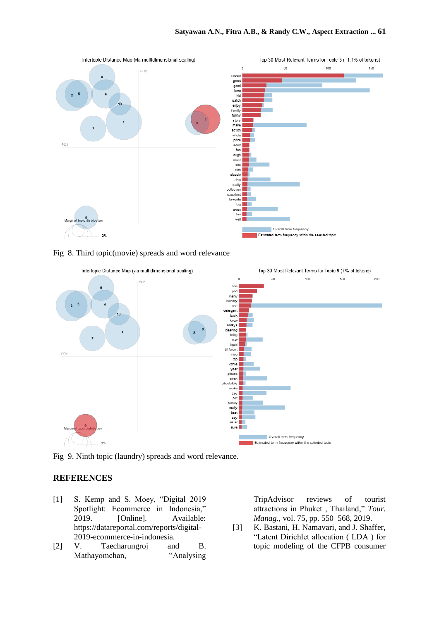





Fig 9. Ninth topic (laundry) spreads and word relevance.

## **REFERENCES**

- [1] S. Kemp and S. Moey, "Digital 2019 Spotlight: Ecommerce in Indonesia," 2019. [Online]. Available: https://datareportal.com/reports/digital-2019-ecommerce-in-indonesia.
- [2] V. Taecharungroj and B. Mathayomchan, "Analysing

TripAdvisor reviews of tourist attractions in Phuket , Thailand," *Tour. Manag.*, vol. 75, pp. 550–568, 2019.

[3] K. Bastani, H. Namavari, and J. Shaffer, "Latent Dirichlet allocation ( LDA ) for topic modeling of the CFPB consumer